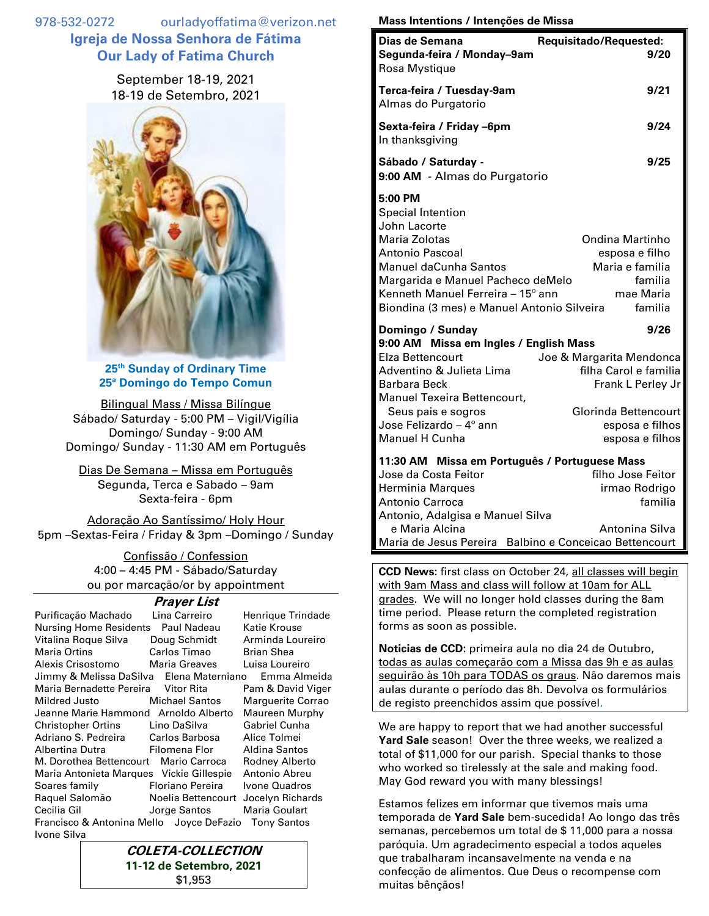978-532-0272 ourladyoffatima@verizon.net **Igreja de Nossa Senhora de Fátima Our Lady of Fatima Church**

## September 18-19, 2021 18-19 de Setembro, 2021



**25 th Sunday of Ordinary Time 25ª Domingo do Tempo Comun**

Bilingual Mass / Missa Bilíngue Sábado/ Saturday - 5:00 PM – Vigil/Vigília Domingo/ Sunday - 9:00 AM Domingo/ Sunday - 11:30 AM em Português

Dias De Semana – Missa em Português Segunda, Terca e Sabado – 9am Sexta-feira - 6pm

Adoração Ao Santíssimo/ Holy Hour 5pm –Sextas-Feira / Friday & 3pm –Domingo / Sunday

> Confissão / Confession 4:00 – 4:45 PM - Sábado/Saturday ou por marcação/or by appointment

## **Prayer List**

|                                          | , , , , , , <b>, , , ,</b> |                    |
|------------------------------------------|----------------------------|--------------------|
| Purificação Machado                      | Lina Carreiro              | Henrique Trindade  |
| <b>Nursing Home Residents</b>            | Paul Nadeau                | Katie Krouse       |
| Vitalina Roque Silva                     | Doug Schmidt               | Arminda Loureiro   |
| <b>Maria Ortins</b>                      | Carlos Timao               | <b>Brian Shea</b>  |
| Alexis Crisostomo                        | <b>Maria Greaves</b>       | Luisa Loureiro     |
| Jimmy & Melissa DaSilva Elena Materniano |                            | Emma Almeida       |
| Maria Bernadette Pereira Vitor Rita      |                            | Pam & David Viger  |
| Mildred Justo <b>Mildred</b>             | <b>Michael Santos</b>      | Marguerite Corrao  |
| Jeanne Marie Hammond Arnoldo Alberto     |                            | Maureen Murphy     |
| Christopher Ortins                       | Lino DaSilva               | Gabriel Cunha      |
|                                          |                            | Alice Tolmei       |
| Albertina Dutra                          | Filomena Flor              | Aldina Santos      |
| M. Dorothea Bettencourt                  | Mario Carroca              | Rodney Alberto     |
| Maria Antonieta Marques Vickie Gillespie |                            | Antonio Abreu      |
| Soares family                            | <b>Floriano Pereira</b>    | Ivone Quadros      |
| Raguel Salomão                           | Noelia Bettencourt         | Jocelyn Richards   |
| Cecilia Gil                              | Jorge Santos               | Maria Goulart      |
| Francisco & Antonina Mello Joyce DeFazio |                            | <b>Tony Santos</b> |
| Ivone Silva                              |                            |                    |

**COLETA-COLLECTION 11-12 de Setembro, 2021** \$1,953

## **Mass Intentions / Intenções de Missa**

| <b>Mass Intentions / Intenções de Missa</b>                                                                                                                                                                                                     |                                                                                                                                      |  |
|-------------------------------------------------------------------------------------------------------------------------------------------------------------------------------------------------------------------------------------------------|--------------------------------------------------------------------------------------------------------------------------------------|--|
| Dias de Semana<br>Segunda-feira / Monday-9am<br>Rosa Mystique                                                                                                                                                                                   | Requisitado/Requested:<br>9/20                                                                                                       |  |
| Terca-feira / Tuesday-9am<br>Almas do Purgatorio                                                                                                                                                                                                | 9/21                                                                                                                                 |  |
| Sexta-feira / Friday -6pm<br>In thanksgiving                                                                                                                                                                                                    | 9/24                                                                                                                                 |  |
| Sábado / Saturday -<br>9:00 AM - Almas do Purgatorio                                                                                                                                                                                            | 9/25                                                                                                                                 |  |
| 5:00 PM<br><b>Special Intention</b><br>John Lacorte<br>Maria Zolotas<br>Antonio Pascoal<br><b>Manuel daCunha Santos</b><br>Margarida e Manuel Pacheco deMelo<br>Kenneth Manuel Ferreira - 15° ann<br>Biondina (3 mes) e Manuel Antonio Silveira | Ondina Martinho<br>esposa e filho<br>Maria e familia<br>familia<br>mae Maria<br>familia                                              |  |
| Domingo / Sunday                                                                                                                                                                                                                                | 9/26                                                                                                                                 |  |
| 9:00 AM Missa em Ingles / English Mass<br><b>Elza Bettencourt</b><br>Adventino & Julieta Lima<br><b>Barbara Beck</b><br>Manuel Texeira Bettencourt,<br>Seus pais e sogros<br>Jose Felizardo - 4º ann<br><b>Manuel H Cunha</b>                   | Joe & Margarita Mendonca<br>filha Carol e familia<br>Frank L Perley Jr<br>Glorinda Bettencourt<br>esposa e filhos<br>esposa e filhos |  |
| 11:30 AM Missa em Português / Portuguese Mass<br>Jose da Costa Feitor<br><b>Herminia Marques</b><br>Antonio Carroca<br>Antonio, Adalgisa e Manuel Silva<br>e Maria Alcina                                                                       | filho Jose Feitor<br>irmao Rodrigo<br>familia<br>Antonina Silva                                                                      |  |
| Maria de Jesus Pereira                                                                                                                                                                                                                          | Balbino e Conceicao Bettencourt                                                                                                      |  |

**CCD News:** first class on October 24, all classes will begin with 9am Mass and class will follow at 10am for ALL grades. We will no longer hold classes during the 8am time period. Please return the completed registration forms as soon as possible.

**Noticias de CCD:** primeira aula no dia 24 de Outubro, todas as aulas começarão com a Missa das 9h e as aulas seguirão às 10h para TODAS os graus. Não daremos mais aulas durante o período das 8h. Devolva os formulários de registo preenchidos assim que possível.

We are happy to report that we had another successful **Yard Sale** season! Over the three weeks, we realized a total of \$11,000 for our parish. Special thanks to those who worked so tirelessly at the sale and making food. May God reward you with many blessings!

Estamos felizes em informar que tivemos mais uma temporada de **Yard Sale** bem-sucedida! Ao longo das três semanas, percebemos um total de \$ 11,000 para a nossa paróquia. Um agradecimento especial a todos aqueles que trabalharam incansavelmente na venda e na confecção de alimentos. Que Deus o recompense com muitas bênçãos!